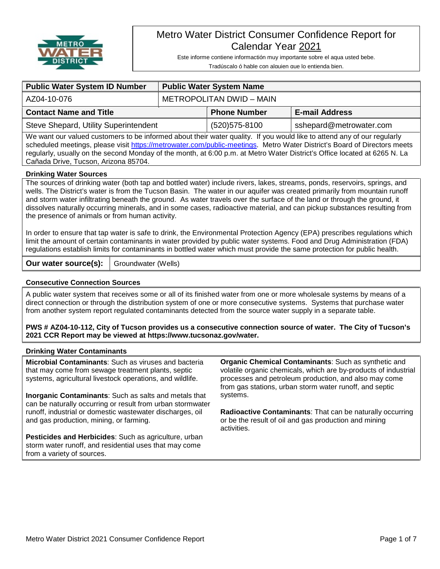

# Metro Water District Consumer Confidence Report for Calendar Year 2021

Este informe contiene informactión muy importante sobre el aqua usted bebe. Tradúscalo ó hable con alguien que lo entienda bien.

| <b>Public Water System ID Number</b>                                                                                                                                                                                                                                                                                                                                             | <b>Public Water System Name</b> |                     |                         |  |  |  |
|----------------------------------------------------------------------------------------------------------------------------------------------------------------------------------------------------------------------------------------------------------------------------------------------------------------------------------------------------------------------------------|---------------------------------|---------------------|-------------------------|--|--|--|
| AZ04-10-076                                                                                                                                                                                                                                                                                                                                                                      | METROPOLITAN DWID - MAIN        |                     |                         |  |  |  |
| <b>Contact Name and Title</b>                                                                                                                                                                                                                                                                                                                                                    |                                 | <b>Phone Number</b> | <b>E-mail Address</b>   |  |  |  |
| Steve Shepard, Utility Superintendent                                                                                                                                                                                                                                                                                                                                            |                                 | (520) 575-8100      | sshepard@metrowater.com |  |  |  |
| We want our valued customers to be informed about their water quality. If you would like to attend any of our regularly<br>scheduled meetings, please visit https://metrowater.com/public-meetings. Metro Water District's Board of Directors meets<br>regularly, usually on the second Monday of the month, at 6:00 p.m. at Metro Water District's Office located at 6265 N. La |                                 |                     |                         |  |  |  |

Cañada Drive, Tucson, Arizona 85704.

## **Drinking Water Sources**

The sources of drinking water (both tap and bottled water) include rivers, lakes, streams, ponds, reservoirs, springs, and wells. The District's water is from the Tucson Basin. The water in our aquifer was created primarily from mountain runoff and storm water infiltrating beneath the ground. As water travels over the surface of the land or through the ground, it dissolves naturally occurring minerals, and in some cases, radioactive material, and can pickup substances resulting from the presence of animals or from human activity.

In order to ensure that tap water is safe to drink, the Environmental Protection Agency (EPA) prescribes regulations which limit the amount of certain contaminants in water provided by public water systems. Food and Drug Administration (FDA) regulations establish limits for contaminants in bottled water which must provide the same protection for public health.

**Our water source(s):** | Groundwater (Wells)

## **Consecutive Connection Sources**

A public water system that receives some or all of its finished water from one or more wholesale systems by means of a direct connection or through the distribution system of one or more consecutive systems. Systems that purchase water from another system report regulated contaminants detected from the source water supply in a separate table.

**PWS # AZ04-10-112, City of Tucson provides us a consecutive connection source of water. The City of Tucson's 2021 CCR Report may be viewed at https://www.tucsonaz.gov/water.**

## **Drinking Water Contaminants**

**Microbial Contaminants**: Such as viruses and bacteria that may come from sewage treatment plants, septic systems, agricultural livestock operations, and wildlife.

**Inorganic Contaminants**: Such as salts and metals that can be naturally occurring or result from urban stormwater runoff, industrial or domestic wastewater discharges, oil and gas production, mining, or farming.

**Pesticides and Herbicides**: Such as agriculture, urban storm water runoff, and residential uses that may come from a variety of sources.

**Organic Chemical Contaminants**: Such as synthetic and volatile organic chemicals, which are by-products of industrial processes and petroleum production, and also may come from gas stations, urban storm water runoff, and septic systems.

**Radioactive Contaminants**: That can be naturally occurring or be the result of oil and gas production and mining activities.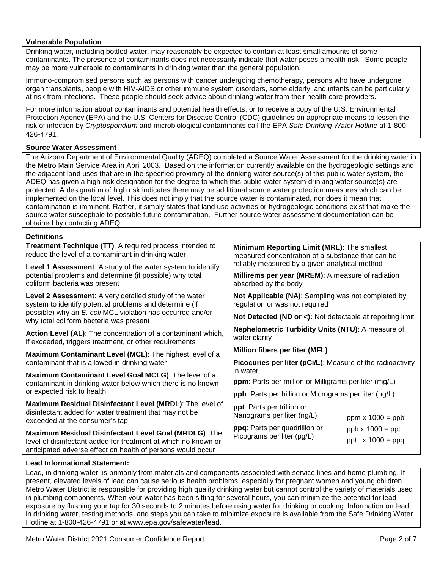## **Vulnerable Population**

Drinking water, including bottled water, may reasonably be expected to contain at least small amounts of some contaminants. The presence of contaminants does not necessarily indicate that water poses a health risk. Some people may be more vulnerable to contaminants in drinking water than the general population.

Immuno-compromised persons such as persons with cancer undergoing chemotherapy, persons who have undergone organ transplants, people with HIV-AIDS or other immune system disorders, some elderly, and infants can be particularly at risk from infections. These people should seek advice about drinking water from their health care providers.

For more information about contaminants and potential health effects, or to receive a copy of the U.S. Environmental Protection Agency (EPA) and the U.S. Centers for Disease Control (CDC) guidelines on appropriate means to lessen the risk of infection by *Cryptosporidium* and microbiological contaminants call the EPA *Safe Drinking Water Hotline* at 1-800- 426-4791.

## **Source Water Assessment**

The Arizona Department of Environmental Quality (ADEQ) completed a Source Water Assessment for the drinking water in the Metro Main Service Area in April 2003. Based on the information currently available on the hydrogeologic settings and the adjacent land uses that are in the specified proximity of the drinking water source(s) of this public water system, the ADEQ has given a high-risk designation for the degree to which this public water system drinking water source(s) are protected. A designation of high risk indicates there may be additional source water protection measures which can be implemented on the local level. This does not imply that the source water is contaminated, nor does it mean that contamination is imminent. Rather, it simply states that land use activities or hydrogeologic conditions exist that make the source water susceptible to possible future contamination. Further source water assessment documentation can be obtained by contacting ADEQ.

#### **Definitions**

**Treatment Technique (TT)**: A required process intended to reduce the level of a contaminant in drinking water

**Level 1 Assessment**: A study of the water system to identify potential problems and determine (if possible) why total coliform bacteria was present

**Level 2 Assessment**: A very detailed study of the water system to identify potential problems and determine (if possible) why an *E. coli* MCL violation has occurred and/or why total coliform bacteria was present

**Action Level (AL)**: The concentration of a contaminant which, if exceeded, triggers treatment, or other requirements

**Maximum Contaminant Level (MCL)**: The highest level of a contaminant that is allowed in drinking water

**Maximum Contaminant Level Goal MCLG)**: The level of a contaminant in drinking water below which there is no known or expected risk to health

**Maximum Residual Disinfectant Level (MRDL)**: The level of disinfectant added for water treatment that may not be exceeded at the consumer's tap

**Maximum Residual Disinfectant Level Goal (MRDLG)**: The level of disinfectant added for treatment at which no known or anticipated adverse effect on health of persons would occur

**Minimum Reporting Limit (MRL)**: The smallest measured concentration of a substance that can be reliably measured by a given analytical method

**Millirems per year (MREM)**: A measure of radiation absorbed by the body

**Not Applicable (NA)**: Sampling was not completed by regulation or was not required

**Not Detected (ND or <):** Not detectable at reporting limit

**Nephelometric Turbidity Units (NTU)**: A measure of water clarity

**Million fibers per liter (MFL)**

**Picocuries per liter (pCi/L)**: Measure of the radioactivity in water

**ppm**: Parts per million or Milligrams per liter (mg/L)

**ppb**: Parts per billion or Micrograms per liter ( $\mu$ g/L)

**ppt**: Parts per trillion or Nanograms per liter (ng/L) **ppq**: Parts per quadrillion or

Picograms per liter (pg/L)

ppm  $x 1000 = ppb$  $ppb \times 1000 = ppt$ 

ppt  $x 1000 = ppq$ 

## **Lead Informational Statement:**

Lead, in drinking water, is primarily from materials and components associated with service lines and home plumbing. If present, elevated levels of lead can cause serious health problems, especially for pregnant women and young children. Metro Water District is responsible for providing high quality drinking water but cannot control the variety of materials used in plumbing components. When your water has been sitting for several hours, you can minimize the potential for lead exposure by flushing your tap for 30 seconds to 2 minutes before using water for drinking or cooking. Information on lead in drinking water, testing methods, and steps you can take to minimize exposure is available from the Safe Drinking Water Hotline at 1-800-426-4791 or at www.epa.gov/safewater/lead.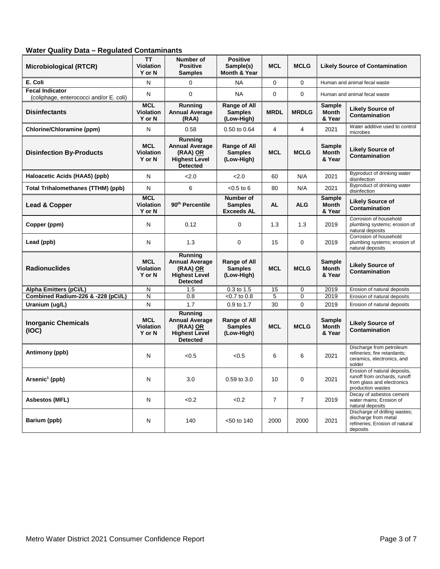## **Water Quality Data – Regulated Contaminants**

| <b>Microbiological (RTCR)</b>                                     | <b>TT</b><br><b>Violation</b><br>Y or N  | Number of<br><b>Positive</b><br><b>Samples</b>                                          | <b>Positive</b><br>Sample(s)<br>Month & Year        | <b>MCL</b>     | <b>MCLG</b>    |                                         | <b>Likely Source of Contamination</b>                                                                           |
|-------------------------------------------------------------------|------------------------------------------|-----------------------------------------------------------------------------------------|-----------------------------------------------------|----------------|----------------|-----------------------------------------|-----------------------------------------------------------------------------------------------------------------|
| E. Coli                                                           | N                                        | $\Omega$                                                                                | <b>NA</b>                                           | 0              | $\Omega$       |                                         | Human and animal fecal waste                                                                                    |
| <b>Fecal Indicator</b><br>(coliphage, enterococci and/or E. coli) | N                                        | 0                                                                                       | <b>NA</b>                                           | 0              | $\Omega$       |                                         | Human and animal fecal waste                                                                                    |
| <b>Disinfectants</b>                                              | <b>MCL</b><br><b>Violation</b><br>Y or N | Running<br><b>Annual Average</b><br>(RAA)                                               | Range of All<br><b>Samples</b><br>(Low-High)        | <b>MRDL</b>    | <b>MRDLG</b>   | Sample<br><b>Month</b><br>& Year        | <b>Likely Source of</b><br>Contamination                                                                        |
| Chlorine/Chloramine (ppm)                                         | N                                        | 0.58                                                                                    | 0.50 to 0.64                                        | 4              | 4              | 2021                                    | Water additive used to control<br>microbes                                                                      |
| <b>Disinfection By-Products</b>                                   | <b>MCL</b><br><b>Violation</b><br>Y or N | Running<br><b>Annual Average</b><br>(RAA) OR<br><b>Highest Level</b><br><b>Detected</b> | Range of All<br><b>Samples</b><br>(Low-High)        | <b>MCL</b>     | <b>MCLG</b>    | <b>Sample</b><br><b>Month</b><br>& Year | <b>Likely Source of</b><br>Contamination                                                                        |
| Haloacetic Acids (HAA5) (ppb)                                     | N                                        | 2.0                                                                                     | 2.0                                                 | 60             | N/A            | 2021                                    | Byproduct of drinking water<br>disinfection                                                                     |
| <b>Total Trihalomethanes (TTHM) (ppb)</b>                         | N                                        | 6                                                                                       | $< 0.5$ to 6                                        | 80             | N/A            | 2021                                    | Byproduct of drinking water<br>disinfection                                                                     |
| Lead & Copper                                                     | <b>MCL</b><br><b>Violation</b><br>Y or N | 90 <sup>th</sup> Percentile                                                             | Number of<br><b>Samples</b><br><b>Exceeds AL</b>    | <b>AL</b>      | <b>ALG</b>     | <b>Sample</b><br>Month<br>& Year        | <b>Likely Source of</b><br>Contamination                                                                        |
| Copper (ppm)                                                      | Ν                                        | 0.12                                                                                    | 0                                                   | 1.3            | 1.3            | 2019                                    | Corrosion of household<br>plumbing systems; erosion of<br>natural deposits                                      |
| Lead (ppb)                                                        | N                                        | 1.3                                                                                     | 0                                                   | 15             | $\mathbf 0$    | 2019                                    | Corrosion of household<br>plumbing systems; erosion of<br>natural deposits                                      |
| <b>Radionuclides</b>                                              | <b>MCL</b><br>Violation<br>Y or N        | Running<br><b>Annual Average</b><br>(RAA) OR<br><b>Highest Level</b><br><b>Detected</b> | <b>Range of All</b><br><b>Samples</b><br>(Low-High) | <b>MCL</b>     | <b>MCLG</b>    | <b>Sample</b><br><b>Month</b><br>& Year | <b>Likely Source of</b><br>Contamination                                                                        |
| Alpha Emitters (pCi/L)                                            | N                                        | 1.5                                                                                     | 0.3 to 1.5                                          | 15             | $\mathbf 0$    | 2019                                    | Erosion of natural deposits                                                                                     |
| Combined Radium-226 & -228 (pCi/L)                                | N                                        | 0.8                                                                                     | $<$ 0.7 to 0.8                                      | 5              | 0              | 2019                                    | Erosion of natural deposits                                                                                     |
| Uranium (ug/L)                                                    | N                                        | 1.7                                                                                     | 0.9 to 1.7                                          | 30             | $\Omega$       | 2019                                    | Erosion of natural deposits                                                                                     |
| <b>Inorganic Chemicals</b><br>(IOC)                               | <b>MCL</b><br><b>Violation</b><br>Y or N | Running<br><b>Annual Average</b><br>(RAA) OR<br><b>Highest Level</b><br><b>Detected</b> | Range of All<br><b>Samples</b><br>(Low-High)        | <b>MCL</b>     | <b>MCLG</b>    | <b>Sample</b><br><b>Month</b><br>& Year | <b>Likely Source of</b><br>Contamination                                                                        |
| Antimony (ppb)                                                    | N                                        | < 0.5                                                                                   | < 0.5                                               | 6              | 6              | 2021                                    | Discharge from petroleum<br>refineries; fire retardants;<br>ceramics, electronics, and<br>solder                |
| Arsenic <sup>1</sup> (ppb)                                        | N                                        | 3.0                                                                                     | $0.59$ to $3.0$                                     | 10             | 0              | 2021                                    | Erosion of natural deposits,<br>runoff from orchards, runoff<br>from glass and electronics<br>production wastes |
| <b>Asbestos (MFL)</b>                                             | N                                        | < 0.2                                                                                   | < 0.2                                               | $\overline{7}$ | $\overline{7}$ | 2019                                    | Decay of asbestos cement<br>water mains; Erosion of<br>natural deposits                                         |
| Barium (ppb)                                                      | N                                        | 140                                                                                     | $< 50$ to 140                                       | 2000           | 2000           | 2021                                    | Discharge of drilling wastes;<br>discharge from metal<br>refineries; Erosion of natural<br>deposits             |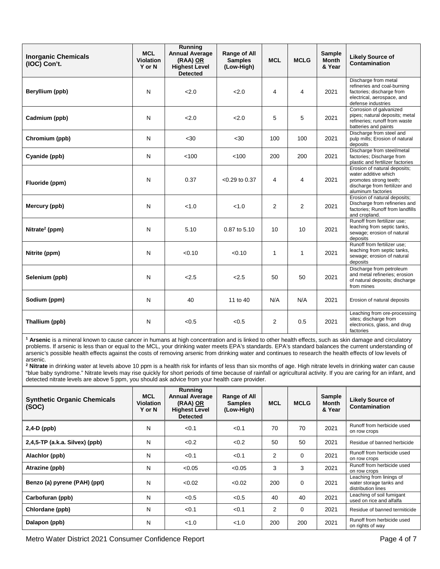| <b>Inorganic Chemicals</b><br>(IOC) Con't. | <b>MCL</b><br><b>Violation</b><br>Y or N | <b>Running</b><br><b>Annual Average</b><br>(RAA) OR<br><b>Highest Level</b><br><b>Detected</b> | Range of All<br><b>Samples</b><br>(Low-High) | <b>MCL</b>     | <b>MCLG</b>    | <b>Sample</b><br><b>Month</b><br>& Year | <b>Likely Source of</b><br><b>Contamination</b>                                                                                       |
|--------------------------------------------|------------------------------------------|------------------------------------------------------------------------------------------------|----------------------------------------------|----------------|----------------|-----------------------------------------|---------------------------------------------------------------------------------------------------------------------------------------|
| Beryllium (ppb)                            | N                                        | 2.0                                                                                            | 2.0                                          | $\overline{4}$ | 4              | 2021                                    | Discharge from metal<br>refineries and coal-burning<br>factories; discharge from<br>electrical, aerospace, and<br>defense industries  |
| Cadmium (ppb)                              | N                                        | 2.0                                                                                            | 2.0                                          | 5              | 5              | 2021                                    | Corrosion of galvanized<br>pipes; natural deposits; metal<br>refineries: runoff from waste<br>batteries and paints                    |
| Chromium (ppb)                             | N                                        | $30$                                                                                           | $30$                                         | 100            | 100            | 2021                                    | Discharge from steel and<br>pulp mills; Erosion of natural<br>deposits                                                                |
| Cyanide (ppb)                              | N                                        | < 100                                                                                          | < 100                                        | 200            | 200            | 2021                                    | Discharge from steel/metal<br>factories; Discharge from<br>plastic and fertilizer factories                                           |
| Fluoride (ppm)                             | N                                        | 0.37                                                                                           | $< 0.29$ to 0.37                             | 4              | 4              | 2021                                    | Erosion of natural deposits;<br>water additive which<br>promotes strong teeth;<br>discharge from fertilizer and<br>aluminum factories |
| Mercury (ppb)                              | N                                        | < 1.0                                                                                          | < 1.0                                        | 2              | $\overline{2}$ | 2021                                    | Erosion of natural deposits;<br>Discharge from refineries and<br>factories; Runoff from landfills<br>and cropland.                    |
| Nitrate <sup>2</sup> (ppm)                 | N                                        | 5.10                                                                                           | 0.87 to 5.10                                 | 10             | 10             | 2021                                    | Runoff from fertilizer use;<br>leaching from septic tanks,<br>sewage; erosion of natural<br>deposits                                  |
| Nitrite (ppm)                              | N                                        | < 0.10                                                                                         | < 0.10                                       | 1              | 1              | 2021                                    | Runoff from fertilizer use:<br>leaching from septic tanks,<br>sewage; erosion of natural<br>deposits                                  |
| Selenium (ppb)                             | N                                        | 2.5                                                                                            | 2.5                                          | 50             | 50             | 2021                                    | Discharge from petroleum<br>and metal refineries; erosion<br>of natural deposits; discharge<br>from mines                             |
| Sodium (ppm)                               | N                                        | 40                                                                                             | 11 to 40                                     | N/A            | N/A            | 2021                                    | Erosion of natural deposits                                                                                                           |
| Thallium (ppb)                             | N                                        | < 0.5                                                                                          | < 0.5                                        | 2              | 0.5            | 2021                                    | Leaching from ore-processing<br>sites; discharge from<br>electronics, glass, and drug<br>factories                                    |

**<sup>1</sup> Arsenic** is a mineral known to cause cancer in humans at high concentration and is linked to other health effects, such as skin damage and circulatory problems. If arsenic is less than or equal to the MCL, your drinking water meets EPA's standards. EPA's standard balances the current understanding of arsenic's possible health effects against the costs of removing arsenic from drinking water and continues to research the health effects of low levels of arsenic.

**<sup>2</sup> Nitrate** in drinking water at levels above 10 ppm is a health risk for infants of less than six months of age. High nitrate levels in drinking water can cause "blue baby syndrome." Nitrate levels may rise quickly for short periods of time because of rainfall or agricultural activity. If you are caring for an infant, and detected nitrate levels are above 5 ppm, you should ask advice from your health care provider.

| <b>Synthetic Organic Chemicals</b><br>(SOC) | <b>MCL</b><br><b>Violation</b><br>Y or N | Running<br><b>Annual Average</b><br>(RAA) OR<br><b>Highest Level</b><br><b>Detected</b> | Range of All<br><b>Samples</b><br>(Low-High) | <b>MCL</b>     | <b>MCLG</b> | Sample<br><b>Month</b><br>& Year | <b>Likely Source of</b><br>Contamination                                  |
|---------------------------------------------|------------------------------------------|-----------------------------------------------------------------------------------------|----------------------------------------------|----------------|-------------|----------------------------------|---------------------------------------------------------------------------|
| $2,4-D$ (ppb)                               | N                                        | < 0.1                                                                                   | < 0.1                                        | 70             | 70          | 2021                             | Runoff from herbicide used<br>on row crops                                |
| $2,4,5$ -TP (a.k.a. Silvex) (ppb)           | N                                        | < 0.2                                                                                   | < 0.2                                        | 50             | 50          | 2021                             | Residue of banned herbicide                                               |
| Alachlor (ppb)                              | N                                        | < 0.1                                                                                   | < 0.1                                        | 2              | $\Omega$    | 2021                             | Runoff from herbicide used<br>on row crops                                |
| Atrazine (ppb)                              | N                                        | < 0.05                                                                                  | < 0.05                                       | 3              | 3           | 2021                             | Runoff from herbicide used<br>on row crops                                |
| Benzo (a) pyrene (PAH) (ppt)                | N                                        | < 0.02                                                                                  | < 0.02                                       | 200            | $\Omega$    | 2021                             | Leaching from linings of<br>water storage tanks and<br>distribution lines |
| Carbofuran (ppb)                            | N                                        | < 0.5                                                                                   | < 0.5                                        | 40             | 40          | 2021                             | Leaching of soil fumigant<br>used on rice and alfalfa                     |
| Chlordane (ppb)                             | N                                        | < 0.1                                                                                   | < 0.1                                        | $\overline{2}$ | $\Omega$    | 2021                             | Residue of banned termiticide                                             |
| Dalapon (ppb)                               | N                                        | < 1.0                                                                                   | < 1.0                                        | 200            | 200         | 2021                             | Runoff from herbicide used<br>on rights of way                            |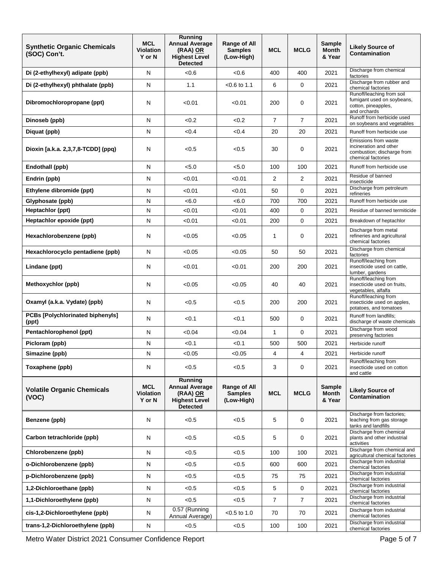| <b>Synthetic Organic Chemicals</b><br>(SOC) Con't. | <b>MCL</b><br><b>Violation</b><br>Y or N | Running<br><b>Annual Average</b><br>(RAA) OR<br><b>Highest Level</b><br><b>Detected</b> | Range of All<br><b>Samples</b><br>(Low-High) | <b>MCL</b>     | <b>MCLG</b>    | <b>Sample</b><br><b>Month</b><br>& Year | <b>Likely Source of</b><br>Contamination                                                           |
|----------------------------------------------------|------------------------------------------|-----------------------------------------------------------------------------------------|----------------------------------------------|----------------|----------------|-----------------------------------------|----------------------------------------------------------------------------------------------------|
| Di (2-ethylhexyl) adipate (ppb)                    | N                                        | <0.6                                                                                    | < 0.6                                        | 400            | 400            | 2021                                    | Discharge from chemical<br>factories                                                               |
| Di (2-ethylhexyl) phthalate (ppb)                  | N                                        | 1.1                                                                                     | $<$ 0.6 to 1.1                               | 6              | 0              | 2021                                    | Discharge from rubber and<br>chemical factories                                                    |
| Dibromochloropropane (ppt)                         | N                                        | < 0.01                                                                                  | < 0.01                                       | 200            | 0              | 2021                                    | Runoff/leaching from soil<br>fumigant used on soybeans,<br>cotton, pineapples,<br>and orchards     |
| Dinoseb (ppb)                                      | N                                        | < 0.2                                                                                   | < 0.2                                        | $\overline{7}$ | $\overline{7}$ | 2021                                    | Runoff from herbicide used<br>on soybeans and vegetables                                           |
| Diquat (ppb)                                       | N                                        | <0.4                                                                                    | <0.4                                         | 20             | 20             | 2021                                    | Runoff from herbicide use                                                                          |
| Dioxin [a.k.a. 2,3,7,8-TCDD] (ppq)                 | N                                        | < 0.5                                                                                   | < 0.5                                        | 30             | 0              | 2021                                    | Emissions from waste<br>incineration and other<br>combustion; discharge from<br>chemical factories |
| Endothall (ppb)                                    | N                                        | < 5.0                                                                                   | < 5.0                                        | 100            | 100            | 2021                                    | Runoff from herbicide use                                                                          |
| Endrin (ppb)                                       | N                                        | < 0.01                                                                                  | < 0.01                                       | $\overline{2}$ | 2              | 2021                                    | Residue of banned<br>insecticide                                                                   |
| Ethylene dibromide (ppt)                           | N                                        | < 0.01                                                                                  | < 0.01                                       | 50             | $\mathbf 0$    | 2021                                    | Discharge from petroleum<br>refineries                                                             |
| Glyphosate (ppb)                                   | N                                        | < 6.0                                                                                   | <6.0                                         | 700            | 700            | 2021                                    | Runoff from herbicide use                                                                          |
| Heptachlor (ppt)                                   | N                                        | < 0.01                                                                                  | < 0.01                                       | 400            | 0              | 2021                                    | Residue of banned termiticide                                                                      |
| Heptachlor epoxide (ppt)                           | N                                        | < 0.01                                                                                  | < 0.01                                       | 200            | 0              | 2021                                    | Breakdown of heptachlor                                                                            |
| Hexachlorobenzene (ppb)                            | N                                        | <0.05                                                                                   | < 0.05                                       | $\mathbf{1}$   | 0              | 2021                                    | Discharge from metal<br>refineries and agricultural<br>chemical factories                          |
| Hexachlorocyclo pentadiene (ppb)                   | N                                        | < 0.05                                                                                  | < 0.05                                       | 50             | 50             | 2021                                    | Discharge from chemical<br>factories                                                               |
| Lindane (ppt)                                      | N                                        | < 0.01                                                                                  | < 0.01                                       | 200            | 200            | 2021                                    | Runoff/leaching from<br>insecticide used on cattle,<br>lumber, gardens                             |
| Methoxychlor (ppb)                                 | N                                        | < 0.05                                                                                  | < 0.05                                       | 40             | 40             | 2021                                    | Runoff/leaching from<br>insecticide used on fruits,<br>vegetables, alfalfa                         |
| Oxamyl (a.k.a. Vydate) (ppb)                       | N                                        | < 0.5                                                                                   | < 0.5                                        | 200            | 200            | 2021                                    | Runoff/leaching from<br>insecticide used on apples,<br>potatoes, and tomatoes                      |
| <b>PCBs [Polychlorinated biphenyls]</b><br>(ppt)   | N                                        | < 0.1                                                                                   | < 0.1                                        | 500            | $\mathbf 0$    | 2021                                    | Runoff from landfills;<br>discharge of waste chemicals                                             |
| Pentachlorophenol (ppt)                            | N                                        | < 0.04                                                                                  | < 0.04                                       | $\mathbf{1}$   | $\mathbf 0$    | 2021                                    | Discharge from wood<br>preserving factories                                                        |
| Picloram (ppb)                                     | N                                        | < 0.1                                                                                   | < 0.1                                        | 500            | 500            | 2021                                    | Herbicide runoff                                                                                   |
| Simazine (ppb)                                     | N                                        | < 0.05                                                                                  | < 0.05                                       | 4              | 4              | 2021                                    | Herbicide runoff                                                                                   |
| Toxaphene (ppb)                                    | N                                        | < 0.5                                                                                   | < 0.5                                        | 3              | $\mathbf 0$    | 2021                                    | Runoff/leaching from<br>insecticide used on cotton<br>and cattle                                   |
| <b>Volatile Organic Chemicals</b><br>(VOC)         | <b>MCL</b><br>Violation<br>Y or N        | Running<br><b>Annual Average</b><br>(RAA) OR<br><b>Highest Level</b><br><b>Detected</b> | Range of All<br><b>Samples</b><br>(Low-High) | <b>MCL</b>     | <b>MCLG</b>    | <b>Sample</b><br><b>Month</b><br>& Year | <b>Likely Source of</b><br>Contamination                                                           |
| Benzene (ppb)                                      | N                                        | < 0.5                                                                                   | < 0.5                                        | 5              | 0              | 2021                                    | Discharge from factories;<br>leaching from gas storage<br>tanks and landfills                      |
| Carbon tetrachloride (ppb)                         | N                                        | < 0.5                                                                                   | < 0.5                                        | 5              | $\mathbf 0$    | 2021                                    | Discharge from chemical<br>plants and other industrial<br>activities                               |
| Chlorobenzene (ppb)                                | N                                        | < 0.5                                                                                   | < 0.5                                        | 100            | 100            | 2021                                    | Discharge from chemical and<br>agricultural chemical factories                                     |
| o-Dichlorobenzene (ppb)                            | N                                        | < 0.5                                                                                   | < 0.5                                        | 600            | 600            | 2021                                    | Discharge from industrial<br>chemical factories                                                    |
| p-Dichlorobenzene (ppb)                            | N                                        | < 0.5                                                                                   | < 0.5                                        | 75             | 75             | 2021                                    | Discharge from industrial<br>chemical factories                                                    |
| 1,2-Dichloroethane (ppb)                           | N                                        | < 0.5                                                                                   | < 0.5                                        | 5              | $\mathbf 0$    | 2021                                    | Discharge from industrial<br>chemical factories                                                    |
| 1,1-Dichloroethylene (ppb)                         | N                                        | < 0.5                                                                                   | < 0.5                                        | $\overline{7}$ | $\overline{7}$ | 2021                                    | Discharge from industrial<br>chemical factories                                                    |
| cis-1,2-Dichloroethylene (ppb)                     | N                                        | 0.57 (Running<br>Annual Average)                                                        | $<$ 0.5 to 1.0                               | 70             | 70             | 2021                                    | Discharge from industrial<br>chemical factories                                                    |
| trans-1,2-Dichloroethylene (ppb)                   | N                                        | < 0.5                                                                                   | < 0.5                                        | 100            | 100            | 2021                                    | Discharge from industrial<br>chemical factories                                                    |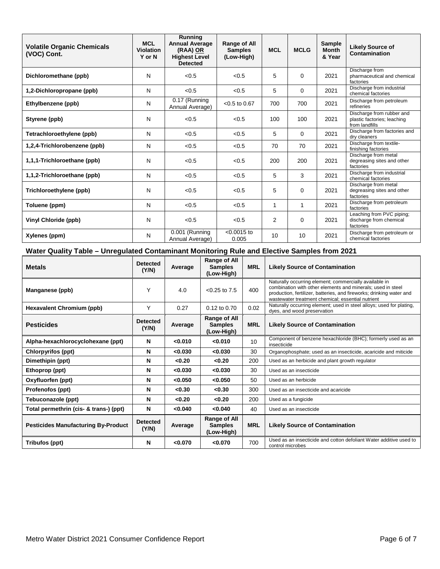| <b>Volatile Organic Chemicals</b><br>(VOC) Cont. | <b>MCL</b><br><b>Violation</b><br>Y or N | Running<br><b>Annual Average</b><br>(RAA) OR<br><b>Highest Level</b><br><b>Detected</b> | Range of All<br><b>MCL</b><br><b>Samples</b><br>(Low-High) |                | <b>MCLG</b> | Sample<br><b>Month</b><br>& Year | <b>Likely Source of</b><br>Contamination                                   |
|--------------------------------------------------|------------------------------------------|-----------------------------------------------------------------------------------------|------------------------------------------------------------|----------------|-------------|----------------------------------|----------------------------------------------------------------------------|
| Dichloromethane (ppb)                            | N                                        | < 0.5                                                                                   | < 0.5                                                      | 5              | $\Omega$    | 2021                             | Discharge from<br>pharmaceutical and chemical<br>factories                 |
| 1,2-Dichloropropane (ppb)                        | N                                        | < 0.5                                                                                   | < 0.5                                                      | 5              | $\Omega$    | 2021                             | Discharge from industrial<br>chemical factories                            |
| Ethylbenzene (ppb)                               | N                                        | 0.17 (Running<br>Annual Average)                                                        | $< 0.5$ to 0.67                                            | 700            | 700         | 2021                             | Discharge from petroleum<br>refineries                                     |
| Styrene (ppb)                                    | N                                        | < 0.5                                                                                   | < 0.5                                                      | 100            | 100         | 2021                             | Discharge from rubber and<br>plastic factories; leaching<br>from landfills |
| Tetrachloroethylene (ppb)                        | N                                        | < 0.5                                                                                   | < 0.5                                                      | 5              | 0           | 2021                             | Discharge from factories and<br>dry cleaners                               |
| 1,2,4-Trichlorobenzene (ppb)                     | N                                        | < 0.5                                                                                   | < 0.5                                                      | 70             | 70          | 2021                             | Discharge from textile-<br>finishing factories                             |
| 1,1,1-Trichloroethane (ppb)                      | N                                        | < 0.5                                                                                   | < 0.5                                                      | 200            | 200         | 2021                             | Discharge from metal<br>degreasing sites and other<br>factories            |
| 1,1,2-Trichloroethane (ppb)                      | N                                        | < 0.5                                                                                   | < 0.5                                                      | 5              |             | 2021                             | Discharge from industrial<br>chemical factories                            |
| Trichloroethylene (ppb)                          | N                                        | < 0.5                                                                                   | < 0.5                                                      | 5              | 0           | 2021                             | Discharge from metal<br>degreasing sites and other<br>factories            |
| Toluene (ppm)                                    | N                                        | < 0.5                                                                                   | < 0.5                                                      | 1              | 1           | 2021                             | Discharge from petroleum<br>factories                                      |
| Vinyl Chloride (ppb)                             | N                                        | < 0.5                                                                                   | < 0.5                                                      | $\overline{2}$ | $\Omega$    | 2021                             | Leaching from PVC piping:<br>discharge from chemical<br>factories          |
| Xylenes (ppm)                                    | N                                        | 0.001 (Running<br>Annual Average)                                                       | $< 0.0015$ to<br>0.005                                     | 10             | 10          | 2021                             | Discharge from petroleum or<br>chemical factories                          |

## **Water Quality Table – Unregulated Contaminant Monitoring Rule and Elective Samples from 2021**

| <b>Metals</b>                              | <b>Detected</b><br>(Y/N) | Average | Range of All<br><b>Samples</b><br>(Low-High)        | <b>MRL</b> | <b>Likely Source of Contamination</b>                                                                                                                                                                                                              |
|--------------------------------------------|--------------------------|---------|-----------------------------------------------------|------------|----------------------------------------------------------------------------------------------------------------------------------------------------------------------------------------------------------------------------------------------------|
| Manganese (ppb)                            | Υ                        | 4.0     | $< 0.25$ to $7.5$                                   | 400        | Naturally occurring element; commercially available in<br>combination with other elements and minerals; used in steel<br>production, fertilizer, batteries, and fireworks; drinking water and<br>wastewater treatment chemical; essential nutrient |
| <b>Hexavalent Chromium (ppb)</b>           | Υ                        | 0.27    | $0.12$ to $0.70$                                    | 0.02       | Naturally occurring element; used in steel alloys; used for plating,<br>dyes, and wood preservation                                                                                                                                                |
| <b>Pesticides</b>                          | <b>Detected</b><br>(Y/N) | Average | <b>Range of All</b><br><b>Samples</b><br>(Low-High) | <b>MRL</b> | <b>Likely Source of Contamination</b>                                                                                                                                                                                                              |
| Alpha-hexachlorocyclohexane (ppt)          | N                        | < 0.010 | < 0.010                                             | 10         | Component of benzene hexachloride (BHC); formerly used as an<br>insecticide                                                                                                                                                                        |
| <b>Chlorpyrifos (ppt)</b>                  | N                        | < 0.030 | < 0.030                                             | 30         | Organophosphate; used as an insecticide, acaricide and miticide                                                                                                                                                                                    |
| Dimethipin (ppt)                           | N                        | < 0.20  | < 0.20                                              | 200        | Used as an herbicide and plant growth regulator                                                                                                                                                                                                    |
| Ethoprop (ppt)                             | N                        | <0.030  | <0.030                                              | 30         | Used as an insecticide                                                                                                                                                                                                                             |
| Oxyfluorfen (ppt)                          | N                        | < 0.050 | < 0.050                                             | 50         | Used as an herbicide                                                                                                                                                                                                                               |
| Profenofos (ppt)                           | N                        | < 0.30  | < 0.30                                              | 300        | Used as an insecticide and acaricide                                                                                                                                                                                                               |
| Tebuconazole (ppt)                         | N                        | < 0.20  | < 0.20                                              | 200        | Used as a fungicide                                                                                                                                                                                                                                |
| Total permethrin (cis- & trans-) (ppt)     | N                        | <0.040  | <0.040                                              | 40         | Used as an insecticide                                                                                                                                                                                                                             |
| <b>Pesticides Manufacturing By-Product</b> | <b>Detected</b><br>(Y/N) | Average | Range of All<br><b>Samples</b><br>(Low-High)        | <b>MRL</b> | <b>Likely Source of Contamination</b>                                                                                                                                                                                                              |
| Tribufos (ppt)                             | N                        | <0.070  | < 0.070                                             | 700        | Used as an insecticide and cotton defoliant Water additive used to<br>control microbes                                                                                                                                                             |